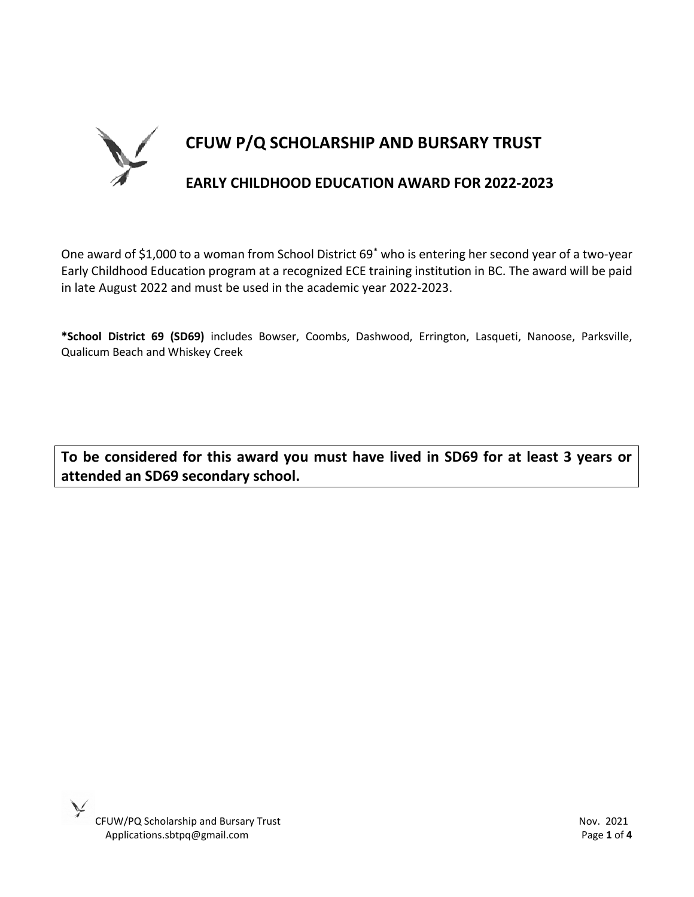

One award of \$1,000 to a woman from School District 69\* who is entering her second year of a two-year Early Childhood Education program at a recognized ECE training institution in BC. The award will be paid in late August 2022 and must be used in the academic year 2022-2023.

**\*School District 69 (SD69)** includes Bowser, Coombs, Dashwood, Errington, Lasqueti, Nanoose, Parksville, Qualicum Beach and Whiskey Creek

**To be considered for this award you must have lived in SD69 for at least 3 years or attended an SD69 secondary school.**

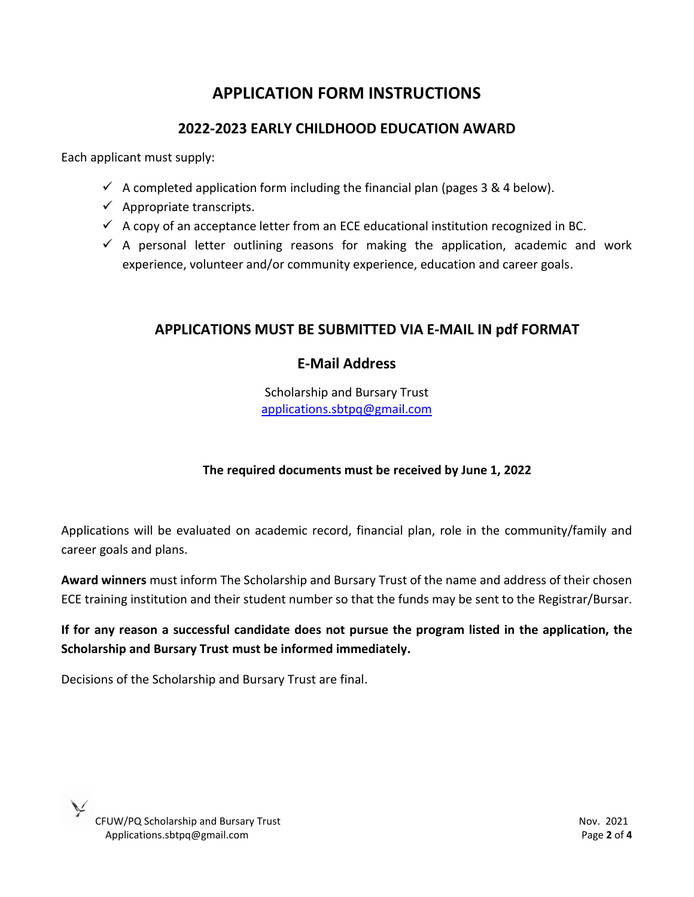# **APPLICATION FORM INSTRUCTIONS**

## **2022-2023 EARLY CHILDHOOD EDUCATION AWARD**

Each applicant must supply:

- $\checkmark$  A completed application form including the financial plan (pages 3 & 4 below).
- $\checkmark$  Appropriate transcripts.
- $\checkmark$  A copy of an acceptance letter from an ECE educational institution recognized in BC.
- $\checkmark$  A personal letter outlining reasons for making the application, academic and work experience, volunteer and/or community experience, education and career goals.

### **APPLICATIONS MUST BE SUBMITTED VIA E-MAIL IN pdf FORMAT**

## **E-Mail Address**

Scholarship and Bursary Trust [applications.sbtpq@gmail.com](mailto:applications.sbtpq@gmail.com)

### **The required documents must be received by June 1, 2022**

Applications will be evaluated on academic record, financial plan, role in the community/family and career goals and plans.

**Award winners** must inform The Scholarship and Bursary Trust of the name and address of their chosen ECE training institution and their student number so that the funds may be sent to the Registrar/Bursar.

**If for any reason a successful candidate does not pursue the program listed in the application, the Scholarship and Bursary Trust must be informed immediately.**

Decisions of the Scholarship and Bursary Trust are final.

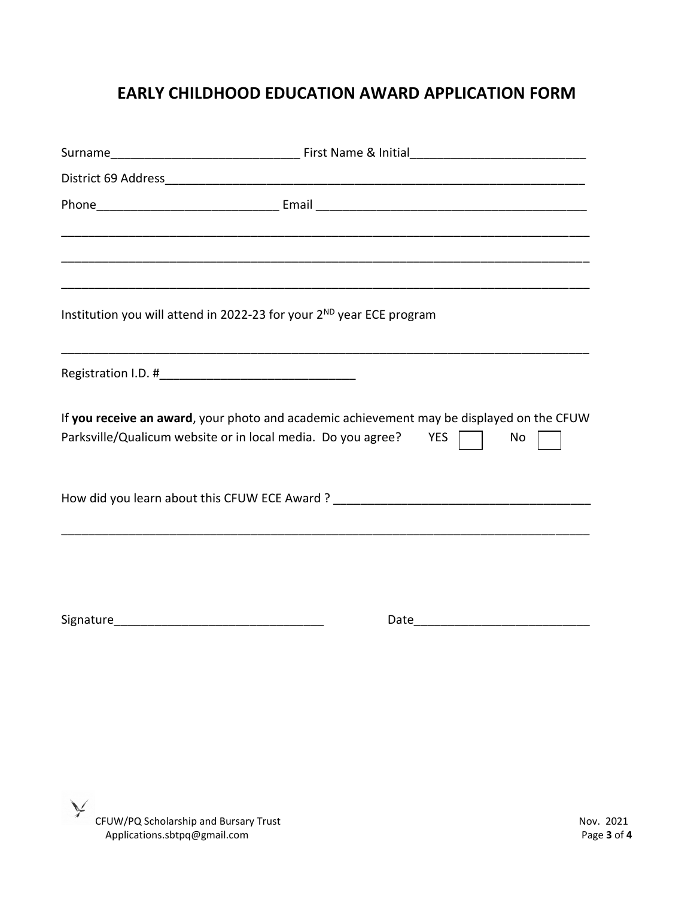# **EARLY CHILDHOOD EDUCATION AWARD APPLICATION FORM**

| <u> 1989 - Johann Stoff, deutscher Stoff, der Stoff, der Stoff, der Stoff, der Stoff, der Stoff, der Stoff, der S</u> |    |
|-----------------------------------------------------------------------------------------------------------------------|----|
|                                                                                                                       |    |
|                                                                                                                       |    |
| Institution you will attend in 2022-23 for your 2 <sup>ND</sup> year ECE program                                      |    |
|                                                                                                                       |    |
| If you receive an award, your photo and academic achievement may be displayed on the CFUW                             |    |
| Parksville/Qualicum website or in local media. Do you agree? YES                                                      | No |
|                                                                                                                       |    |
|                                                                                                                       |    |
|                                                                                                                       |    |
| Date                                                                                                                  |    |